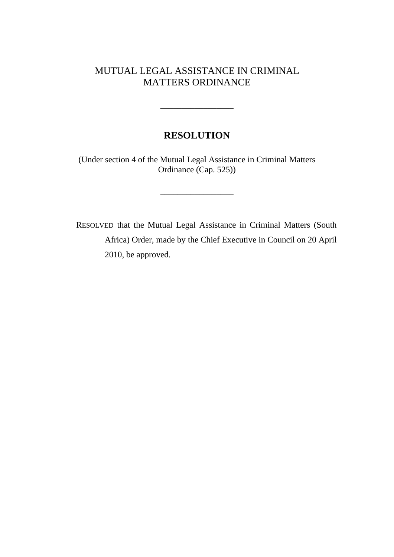# MUTUAL LEGAL ASSISTANCE IN CRIMINAL MATTERS ORDINANCE

# **RESOLUTION**

 $\overline{\phantom{a}}$  , where  $\overline{\phantom{a}}$ 

(Under section 4 of the Mutual Legal Assistance in Criminal Matters Ordinance (Cap. 525))

\_\_\_\_\_\_\_\_\_\_\_\_\_\_\_\_\_

RESOLVED that the Mutual Legal Assistance in Criminal Matters (South Africa) Order, made by the Chief Executive in Council on 20 April 2010, be approved.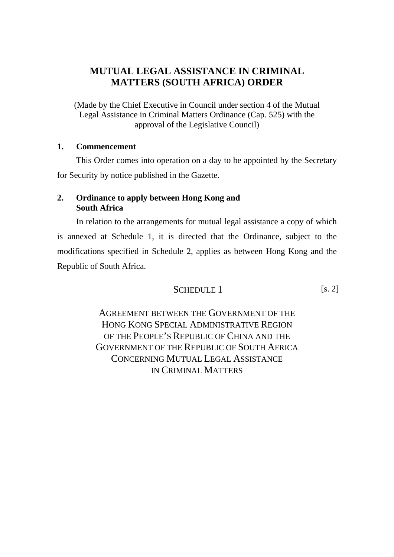# **MUTUAL LEGAL ASSISTANCE IN CRIMINAL MATTERS (SOUTH AFRICA) ORDER**

(Made by the Chief Executive in Council under section 4 of the Mutual Legal Assistance in Criminal Matters Ordinance (Cap. 525) with the approval of the Legislative Council)

# **1. Commencement**

This Order comes into operation on a day to be appointed by the Secretary for Security by notice published in the Gazette.

# **2. Ordinance to apply between Hong Kong and South Africa**

In relation to the arrangements for mutual legal assistance a copy of which is annexed at Schedule 1, it is directed that the Ordinance, subject to the modifications specified in Schedule 2, applies as between Hong Kong and the Republic of South Africa.

$$
SCHEDULE 1
$$
 [s. 2]

AGREEMENT BETWEEN THE GOVERNMENT OF THE HONG KONG SPECIAL ADMINISTRATIVE REGION OF THE PEOPLE'S REPUBLIC OF CHINA AND THE GOVERNMENT OF THE REPUBLIC OF SOUTH AFRICA CONCERNING MUTUAL LEGAL ASSISTANCE IN CRIMINAL MATTERS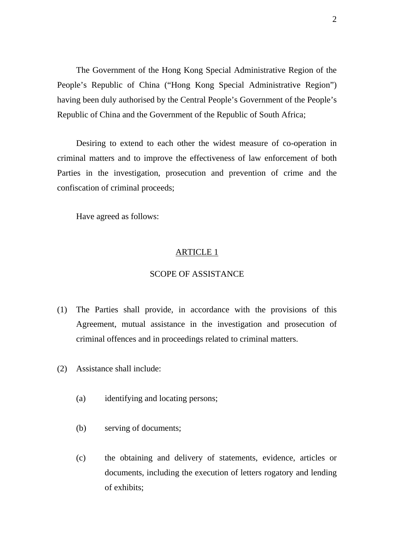The Government of the Hong Kong Special Administrative Region of the People's Republic of China ("Hong Kong Special Administrative Region") having been duly authorised by the Central People's Government of the People's Republic of China and the Government of the Republic of South Africa;

 Desiring to extend to each other the widest measure of co-operation in criminal matters and to improve the effectiveness of law enforcement of both Parties in the investigation, prosecution and prevention of crime and the confiscation of criminal proceeds;

Have agreed as follows:

#### ARTICLE 1

# SCOPE OF ASSISTANCE

- (1) The Parties shall provide, in accordance with the provisions of this Agreement, mutual assistance in the investigation and prosecution of criminal offences and in proceedings related to criminal matters.
- (2) Assistance shall include:
	- (a) identifying and locating persons;
	- (b) serving of documents;
	- (c) the obtaining and delivery of statements, evidence, articles or documents, including the execution of letters rogatory and lending of exhibits;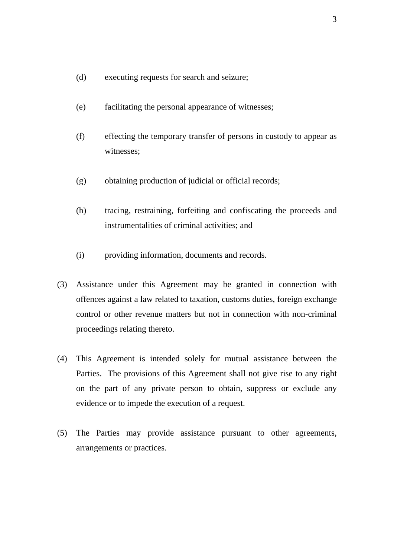- (d) executing requests for search and seizure;
- (e) facilitating the personal appearance of witnesses;
- (f) effecting the temporary transfer of persons in custody to appear as witnesses;
- (g) obtaining production of judicial or official records;
- (h) tracing, restraining, forfeiting and confiscating the proceeds and instrumentalities of criminal activities; and
- (i) providing information, documents and records.
- (3) Assistance under this Agreement may be granted in connection with offences against a law related to taxation, customs duties, foreign exchange control or other revenue matters but not in connection with non-criminal proceedings relating thereto.
- (4) This Agreement is intended solely for mutual assistance between the Parties. The provisions of this Agreement shall not give rise to any right on the part of any private person to obtain, suppress or exclude any evidence or to impede the execution of a request.
- (5) The Parties may provide assistance pursuant to other agreements, arrangements or practices.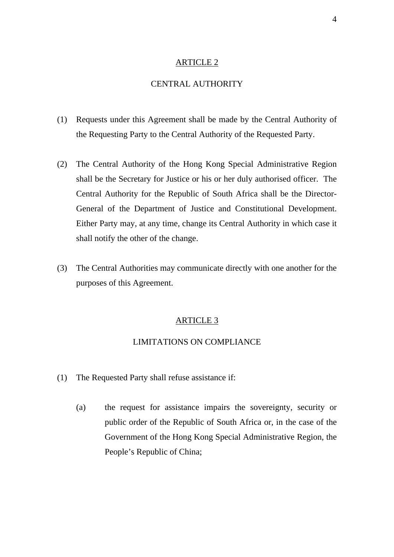# CENTRAL AUTHORITY

- (1) Requests under this Agreement shall be made by the Central Authority of the Requesting Party to the Central Authority of the Requested Party.
- (2) The Central Authority of the Hong Kong Special Administrative Region shall be the Secretary for Justice or his or her duly authorised officer. The Central Authority for the Republic of South Africa shall be the Director-General of the Department of Justice and Constitutional Development. Either Party may, at any time, change its Central Authority in which case it shall notify the other of the change.
- (3) The Central Authorities may communicate directly with one another for the purposes of this Agreement.

#### ARTICLE 3

## LIMITATIONS ON COMPLIANCE

- (1) The Requested Party shall refuse assistance if:
	- (a) the request for assistance impairs the sovereignty, security or public order of the Republic of South Africa or, in the case of the Government of the Hong Kong Special Administrative Region, the People's Republic of China;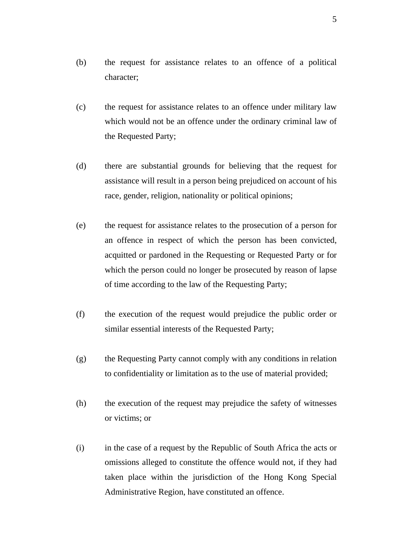- (b) the request for assistance relates to an offence of a political character;
- (c) the request for assistance relates to an offence under military law which would not be an offence under the ordinary criminal law of the Requested Party;
- (d) there are substantial grounds for believing that the request for assistance will result in a person being prejudiced on account of his race, gender, religion, nationality or political opinions;
- (e) the request for assistance relates to the prosecution of a person for an offence in respect of which the person has been convicted, acquitted or pardoned in the Requesting or Requested Party or for which the person could no longer be prosecuted by reason of lapse of time according to the law of the Requesting Party;
- (f) the execution of the request would prejudice the public order or similar essential interests of the Requested Party;
- (g) the Requesting Party cannot comply with any conditions in relation to confidentiality or limitation as to the use of material provided;
- (h) the execution of the request may prejudice the safety of witnesses or victims; or
- (i) in the case of a request by the Republic of South Africa the acts or omissions alleged to constitute the offence would not, if they had taken place within the jurisdiction of the Hong Kong Special Administrative Region, have constituted an offence.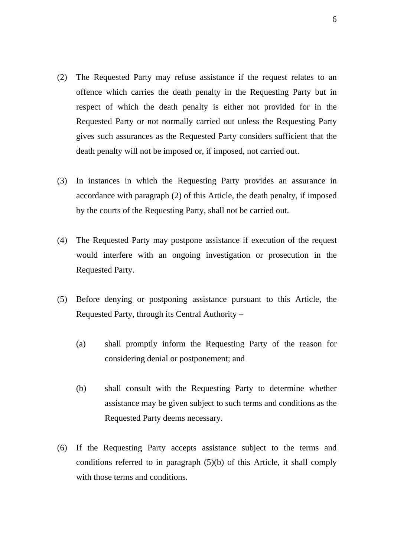- (2) The Requested Party may refuse assistance if the request relates to an offence which carries the death penalty in the Requesting Party but in respect of which the death penalty is either not provided for in the Requested Party or not normally carried out unless the Requesting Party gives such assurances as the Requested Party considers sufficient that the death penalty will not be imposed or, if imposed, not carried out.
- (3) In instances in which the Requesting Party provides an assurance in accordance with paragraph (2) of this Article, the death penalty, if imposed by the courts of the Requesting Party, shall not be carried out.
- (4) The Requested Party may postpone assistance if execution of the request would interfere with an ongoing investigation or prosecution in the Requested Party.
- (5) Before denying or postponing assistance pursuant to this Article, the Requested Party, through its Central Authority –
	- (a) shall promptly inform the Requesting Party of the reason for considering denial or postponement; and
	- (b) shall consult with the Requesting Party to determine whether assistance may be given subject to such terms and conditions as the Requested Party deems necessary.
- (6) If the Requesting Party accepts assistance subject to the terms and conditions referred to in paragraph (5)(b) of this Article, it shall comply with those terms and conditions.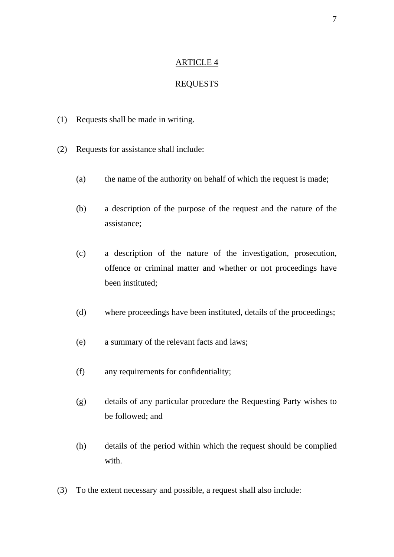# REQUESTS

- (1) Requests shall be made in writing.
- (2) Requests for assistance shall include:
	- (a) the name of the authority on behalf of which the request is made;
	- (b) a description of the purpose of the request and the nature of the assistance;
	- (c) a description of the nature of the investigation, prosecution, offence or criminal matter and whether or not proceedings have been instituted;
	- (d) where proceedings have been instituted, details of the proceedings;
	- (e) a summary of the relevant facts and laws;
	- (f) any requirements for confidentiality;
	- (g) details of any particular procedure the Requesting Party wishes to be followed; and
	- (h) details of the period within which the request should be complied with
- (3) To the extent necessary and possible, a request shall also include: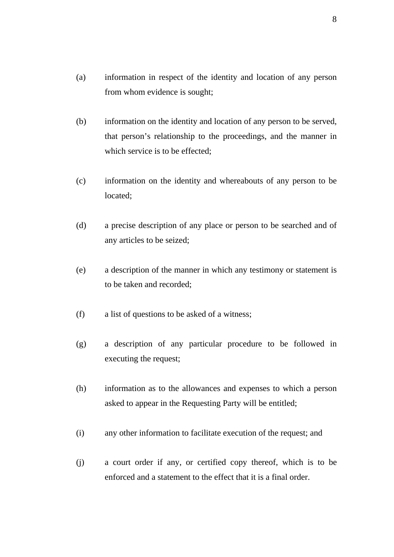- (a) information in respect of the identity and location of any person from whom evidence is sought;
- (b) information on the identity and location of any person to be served, that person's relationship to the proceedings, and the manner in which service is to be effected;
- (c) information on the identity and whereabouts of any person to be located;
- (d) a precise description of any place or person to be searched and of any articles to be seized;
- (e) a description of the manner in which any testimony or statement is to be taken and recorded;
- (f) a list of questions to be asked of a witness;
- (g) a description of any particular procedure to be followed in executing the request;
- (h) information as to the allowances and expenses to which a person asked to appear in the Requesting Party will be entitled;
- (i) any other information to facilitate execution of the request; and
- (j) a court order if any, or certified copy thereof, which is to be enforced and a statement to the effect that it is a final order.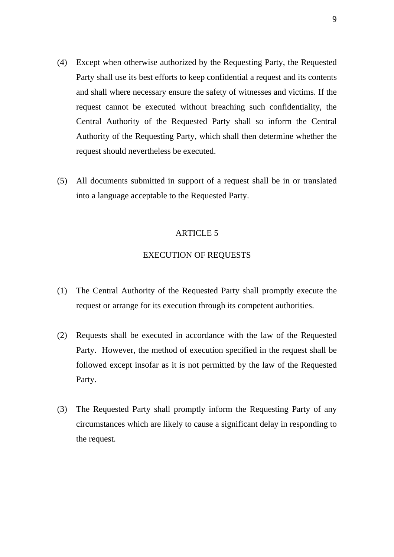- (4) Except when otherwise authorized by the Requesting Party, the Requested Party shall use its best efforts to keep confidential a request and its contents and shall where necessary ensure the safety of witnesses and victims. If the request cannot be executed without breaching such confidentiality, the Central Authority of the Requested Party shall so inform the Central Authority of the Requesting Party, which shall then determine whether the request should nevertheless be executed.
- (5) All documents submitted in support of a request shall be in or translated into a language acceptable to the Requested Party.

## EXECUTION OF REQUESTS

- (1) The Central Authority of the Requested Party shall promptly execute the request or arrange for its execution through its competent authorities.
- (2) Requests shall be executed in accordance with the law of the Requested Party. However, the method of execution specified in the request shall be followed except insofar as it is not permitted by the law of the Requested Party.
- (3) The Requested Party shall promptly inform the Requesting Party of any circumstances which are likely to cause a significant delay in responding to the request.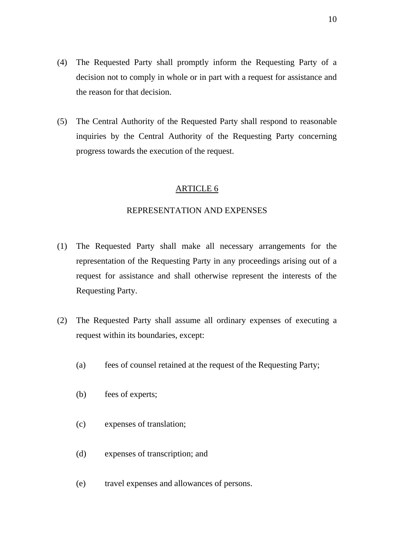- (4) The Requested Party shall promptly inform the Requesting Party of a decision not to comply in whole or in part with a request for assistance and the reason for that decision.
- (5) The Central Authority of the Requested Party shall respond to reasonable inquiries by the Central Authority of the Requesting Party concerning progress towards the execution of the request.

#### REPRESENTATION AND EXPENSES

- (1) The Requested Party shall make all necessary arrangements for the representation of the Requesting Party in any proceedings arising out of a request for assistance and shall otherwise represent the interests of the Requesting Party.
- (2) The Requested Party shall assume all ordinary expenses of executing a request within its boundaries, except:
	- (a) fees of counsel retained at the request of the Requesting Party;
	- (b) fees of experts;
	- (c) expenses of translation;
	- (d) expenses of transcription; and
	- (e) travel expenses and allowances of persons.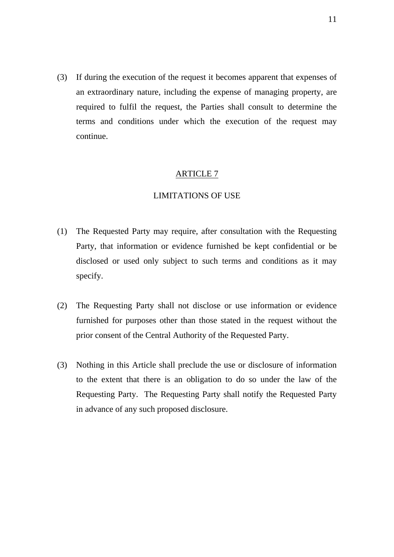(3) If during the execution of the request it becomes apparent that expenses of an extraordinary nature, including the expense of managing property, are required to fulfil the request, the Parties shall consult to determine the terms and conditions under which the execution of the request may continue.

## ARTICLE 7

#### LIMITATIONS OF USE

- (1) The Requested Party may require, after consultation with the Requesting Party, that information or evidence furnished be kept confidential or be disclosed or used only subject to such terms and conditions as it may specify.
- (2) The Requesting Party shall not disclose or use information or evidence furnished for purposes other than those stated in the request without the prior consent of the Central Authority of the Requested Party.
- (3) Nothing in this Article shall preclude the use or disclosure of information to the extent that there is an obligation to do so under the law of the Requesting Party. The Requesting Party shall notify the Requested Party in advance of any such proposed disclosure.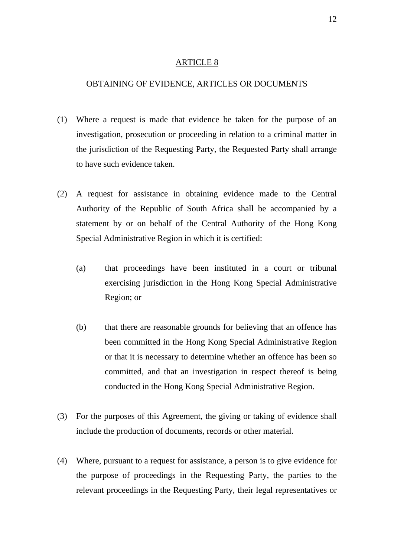#### OBTAINING OF EVIDENCE, ARTICLES OR DOCUMENTS

- (1) Where a request is made that evidence be taken for the purpose of an investigation, prosecution or proceeding in relation to a criminal matter in the jurisdiction of the Requesting Party, the Requested Party shall arrange to have such evidence taken.
- (2) A request for assistance in obtaining evidence made to the Central Authority of the Republic of South Africa shall be accompanied by a statement by or on behalf of the Central Authority of the Hong Kong Special Administrative Region in which it is certified:
	- (a) that proceedings have been instituted in a court or tribunal exercising jurisdiction in the Hong Kong Special Administrative Region; or
	- (b) that there are reasonable grounds for believing that an offence has been committed in the Hong Kong Special Administrative Region or that it is necessary to determine whether an offence has been so committed, and that an investigation in respect thereof is being conducted in the Hong Kong Special Administrative Region.
- (3) For the purposes of this Agreement, the giving or taking of evidence shall include the production of documents, records or other material.
- (4) Where, pursuant to a request for assistance, a person is to give evidence for the purpose of proceedings in the Requesting Party, the parties to the relevant proceedings in the Requesting Party, their legal representatives or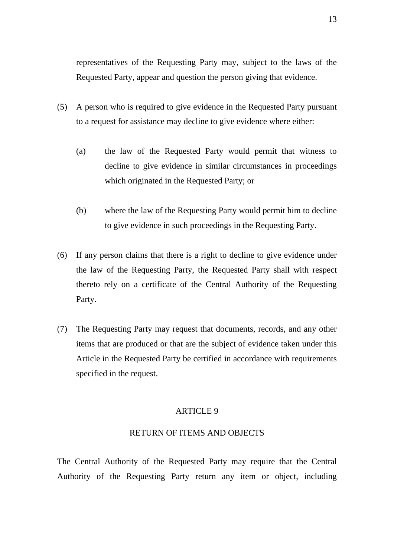representatives of the Requesting Party may, subject to the laws of the Requested Party, appear and question the person giving that evidence.

- (5) A person who is required to give evidence in the Requested Party pursuant to a request for assistance may decline to give evidence where either:
	- (a) the law of the Requested Party would permit that witness to decline to give evidence in similar circumstances in proceedings which originated in the Requested Party; or
	- (b) where the law of the Requesting Party would permit him to decline to give evidence in such proceedings in the Requesting Party.
- (6) If any person claims that there is a right to decline to give evidence under the law of the Requesting Party, the Requested Party shall with respect thereto rely on a certificate of the Central Authority of the Requesting Party.
- (7) The Requesting Party may request that documents, records, and any other items that are produced or that are the subject of evidence taken under this Article in the Requested Party be certified in accordance with requirements specified in the request.

#### ARTICLE 9

#### RETURN OF ITEMS AND OBJECTS

The Central Authority of the Requested Party may require that the Central Authority of the Requesting Party return any item or object, including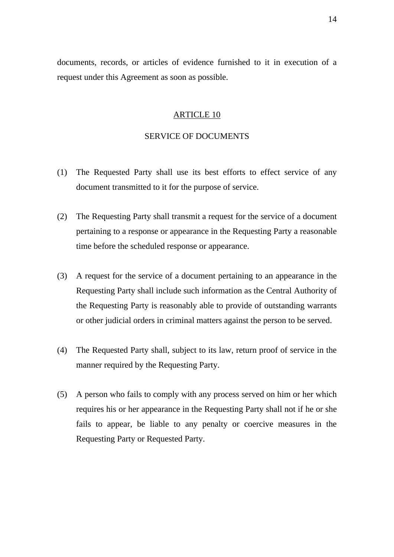documents, records, or articles of evidence furnished to it in execution of a request under this Agreement as soon as possible.

#### ARTICLE 10

## SERVICE OF DOCUMENTS

- (1) The Requested Party shall use its best efforts to effect service of any document transmitted to it for the purpose of service.
- (2) The Requesting Party shall transmit a request for the service of a document pertaining to a response or appearance in the Requesting Party a reasonable time before the scheduled response or appearance.
- (3) A request for the service of a document pertaining to an appearance in the Requesting Party shall include such information as the Central Authority of the Requesting Party is reasonably able to provide of outstanding warrants or other judicial orders in criminal matters against the person to be served.
- (4) The Requested Party shall, subject to its law, return proof of service in the manner required by the Requesting Party.
- (5) A person who fails to comply with any process served on him or her which requires his or her appearance in the Requesting Party shall not if he or she fails to appear, be liable to any penalty or coercive measures in the Requesting Party or Requested Party.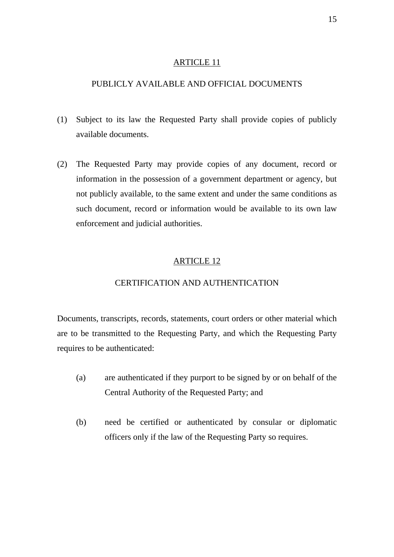# PUBLICLY AVAILABLE AND OFFICIAL DOCUMENTS

- (1) Subject to its law the Requested Party shall provide copies of publicly available documents.
- (2) The Requested Party may provide copies of any document, record or information in the possession of a government department or agency, but not publicly available, to the same extent and under the same conditions as such document, record or information would be available to its own law enforcement and judicial authorities.

# ARTICLE 12

## CERTIFICATION AND AUTHENTICATION

Documents, transcripts, records, statements, court orders or other material which are to be transmitted to the Requesting Party, and which the Requesting Party requires to be authenticated:

- (a) are authenticated if they purport to be signed by or on behalf of the Central Authority of the Requested Party; and
- (b) need be certified or authenticated by consular or diplomatic officers only if the law of the Requesting Party so requires.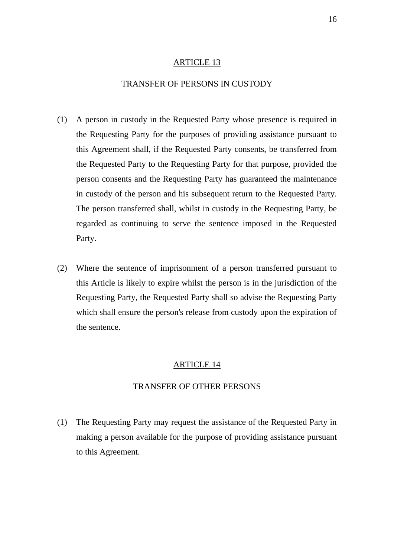## TRANSFER OF PERSONS IN CUSTODY

- (1) A person in custody in the Requested Party whose presence is required in the Requesting Party for the purposes of providing assistance pursuant to this Agreement shall, if the Requested Party consents, be transferred from the Requested Party to the Requesting Party for that purpose, provided the person consents and the Requesting Party has guaranteed the maintenance in custody of the person and his subsequent return to the Requested Party. The person transferred shall, whilst in custody in the Requesting Party, be regarded as continuing to serve the sentence imposed in the Requested Party.
- (2) Where the sentence of imprisonment of a person transferred pursuant to this Article is likely to expire whilst the person is in the jurisdiction of the Requesting Party, the Requested Party shall so advise the Requesting Party which shall ensure the person's release from custody upon the expiration of the sentence.

#### ARTICLE 14

#### TRANSFER OF OTHER PERSONS

(1) The Requesting Party may request the assistance of the Requested Party in making a person available for the purpose of providing assistance pursuant to this Agreement.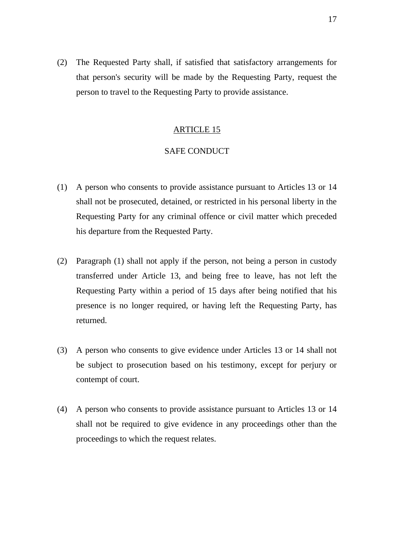(2) The Requested Party shall, if satisfied that satisfactory arrangements for that person's security will be made by the Requesting Party, request the person to travel to the Requesting Party to provide assistance.

#### ARTICLE 15

# SAFE CONDUCT

- (1) A person who consents to provide assistance pursuant to Articles 13 or 14 shall not be prosecuted, detained, or restricted in his personal liberty in the Requesting Party for any criminal offence or civil matter which preceded his departure from the Requested Party.
- (2) Paragraph (1) shall not apply if the person, not being a person in custody transferred under Article 13, and being free to leave, has not left the Requesting Party within a period of 15 days after being notified that his presence is no longer required, or having left the Requesting Party, has returned.
- (3) A person who consents to give evidence under Articles 13 or 14 shall not be subject to prosecution based on his testimony, except for perjury or contempt of court.
- (4) A person who consents to provide assistance pursuant to Articles 13 or 14 shall not be required to give evidence in any proceedings other than the proceedings to which the request relates.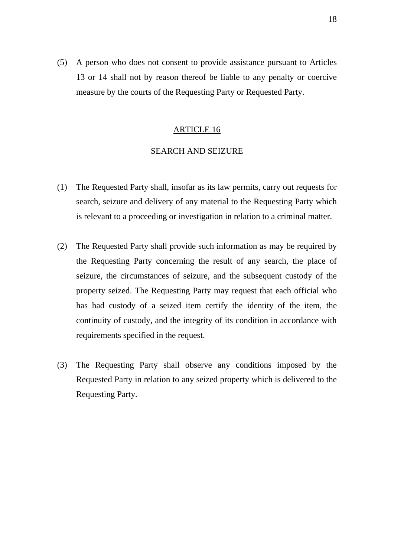(5) A person who does not consent to provide assistance pursuant to Articles 13 or 14 shall not by reason thereof be liable to any penalty or coercive measure by the courts of the Requesting Party or Requested Party.

#### ARTICLE 16

## SEARCH AND SEIZURE

- (1) The Requested Party shall, insofar as its law permits, carry out requests for search, seizure and delivery of any material to the Requesting Party which is relevant to a proceeding or investigation in relation to a criminal matter.
- (2) The Requested Party shall provide such information as may be required by the Requesting Party concerning the result of any search, the place of seizure, the circumstances of seizure, and the subsequent custody of the property seized. The Requesting Party may request that each official who has had custody of a seized item certify the identity of the item, the continuity of custody, and the integrity of its condition in accordance with requirements specified in the request.
- (3) The Requesting Party shall observe any conditions imposed by the Requested Party in relation to any seized property which is delivered to the Requesting Party.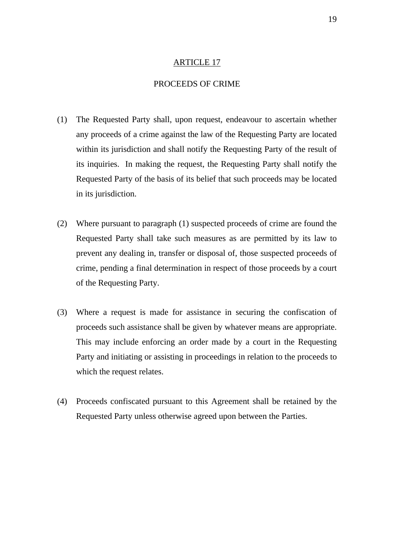# PROCEEDS OF CRIME

- (1) The Requested Party shall, upon request, endeavour to ascertain whether any proceeds of a crime against the law of the Requesting Party are located within its jurisdiction and shall notify the Requesting Party of the result of its inquiries. In making the request, the Requesting Party shall notify the Requested Party of the basis of its belief that such proceeds may be located in its jurisdiction.
- (2) Where pursuant to paragraph (1) suspected proceeds of crime are found the Requested Party shall take such measures as are permitted by its law to prevent any dealing in, transfer or disposal of, those suspected proceeds of crime, pending a final determination in respect of those proceeds by a court of the Requesting Party.
- (3) Where a request is made for assistance in securing the confiscation of proceeds such assistance shall be given by whatever means are appropriate. This may include enforcing an order made by a court in the Requesting Party and initiating or assisting in proceedings in relation to the proceeds to which the request relates.
- (4) Proceeds confiscated pursuant to this Agreement shall be retained by the Requested Party unless otherwise agreed upon between the Parties.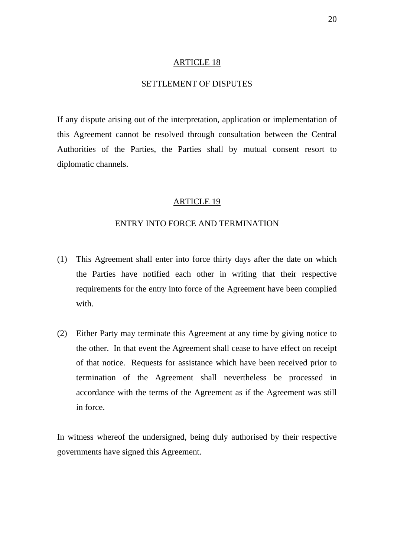# SETTLEMENT OF DISPUTES

If any dispute arising out of the interpretation, application or implementation of this Agreement cannot be resolved through consultation between the Central Authorities of the Parties, the Parties shall by mutual consent resort to diplomatic channels.

#### ARTICLE 19

## ENTRY INTO FORCE AND TERMINATION

- (1) This Agreement shall enter into force thirty days after the date on which the Parties have notified each other in writing that their respective requirements for the entry into force of the Agreement have been complied with.
- (2) Either Party may terminate this Agreement at any time by giving notice to the other. In that event the Agreement shall cease to have effect on receipt of that notice. Requests for assistance which have been received prior to termination of the Agreement shall nevertheless be processed in accordance with the terms of the Agreement as if the Agreement was still in force.

In witness whereof the undersigned, being duly authorised by their respective governments have signed this Agreement.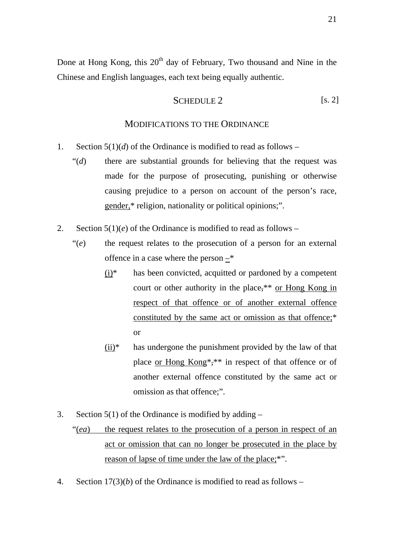Done at Hong Kong, this 20<sup>th</sup> day of February, Two thousand and Nine in the Chinese and English languages, each text being equally authentic.

$$
SCHEDULE 2 \t\t\t [s. 2]
$$

#### MODIFICATIONS TO THE ORDINANCE

- 1. Section  $5(1)(d)$  of the Ordinance is modified to read as follows
	- "(*d*) there are substantial grounds for believing that the request was made for the purpose of prosecuting, punishing or otherwise causing prejudice to a person on account of the person's race, gender,\* religion, nationality or political opinions;".
- 2. Section 5(1)(*e*) of the Ordinance is modified to read as follows
	- "(*e*) the request relates to the prosecution of a person for an external offence in a case where the person –\*
		- $(i)*$  has been convicted, acquitted or pardoned by a competent court or other authority in the place,\*\* or Hong Kong in respect of that offence or of another external offence constituted by the same act or omission as that offence;\* or
		- $(ii)*$  has undergone the punishment provided by the law of that place or Hong Kong\*,\*\* in respect of that offence or of another external offence constituted by the same act or omission as that offence;".
- 3. Section  $5(1)$  of the Ordinance is modified by adding  $-$

"(*ea*) the request relates to the prosecution of a person in respect of an act or omission that can no longer be prosecuted in the place by reason of lapse of time under the law of the place;<sup>\*"</sup>.

4. Section 17(3)(*b*) of the Ordinance is modified to read as follows –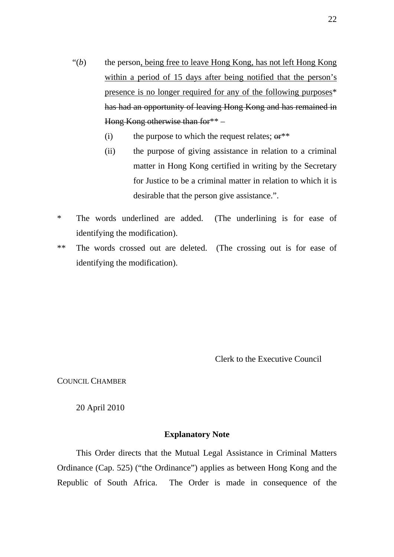- "(b) the person, being free to leave Hong Kong, has not left Hong Kong within a period of 15 days after being notified that the person's presence is no longer required for any of the following purposes\* has had an opportunity of leaving Hong Kong and has remained in Hong Kong otherwise than for  $*$  –
	- (i) the purpose to which the request relates;  $er^{**}$
	- (ii) the purpose of giving assistance in relation to a criminal matter in Hong Kong certified in writing by the Secretary for Justice to be a criminal matter in relation to which it is desirable that the person give assistance.".
- \* The words underlined are added. (The underlining is for ease of identifying the modification).
- \*\* The words crossed out are deleted. (The crossing out is for ease of identifying the modification).

Clerk to the Executive Council

COUNCIL CHAMBER

20 April 2010

# **Explanatory Note**

This Order directs that the Mutual Legal Assistance in Criminal Matters Ordinance (Cap. 525) ("the Ordinance") applies as between Hong Kong and the Republic of South Africa. The Order is made in consequence of the